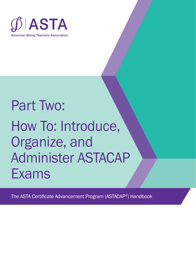

# Part Two: How To: Introduce, Organize, and Administer ASTACAP Exams

The ASTA Certificate Advancement Program (ASTACAP®) Handbook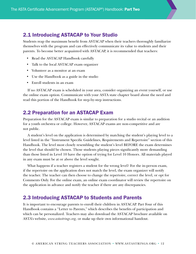## 2.1 Introducing ASTACAP to Your Studio

Students reap the maximum benefit from ASTACAP when their teachers thoroughly familiarize themselves with the program and can effectively communicate its value to students and their parents. To become better acquainted with ASTACAP, it is recommended that teachers:

- Read the ASTACAP Handbook carefully
- Talk to the local ASTACAP exam organizer
- Volunteer as a monitor at an exam
- Use the Handbook as a guide in the studio
- Enroll students in an exam

If no ASTACAP exam is scheduled in your area, consider organizing an event yourself, or use the online exam option. Communicate with your ASTA state chapter board about the need and read this portion of the Handbook for step-by-step instructions.

## 2.2 Preparation for an ASTACAP Exam

Preparation for the ASTACAP exam is similar to preparation for a studio recital or an audition for a youth orchestra or college. However, ASTACAP exams are non-competitive and are not public.

A student's level on the application is determined by matching the student's playing level to a level listed in the "Instrument Specific Guidelines, Requirements and Repertoire" section of this Handbook. The level most closely resembling the student's level BEFORE the exam determines the level that should be chosen. Those students playing pieces significantly more demanding than those listed in Level 10 have the option of trying for Level 10 Honors. All materials played in any exam must be at or above the level sought.

What happens if a teacher registers a student for the wrong level? For the in-person exam, if the repertoire on the application does not match the level, the exam organizer will notify the teacher. The teacher can then choose to change the repertoire, correct the level, or opt for Comments Only. For the online exam, an online exam coordinator will review the repertoire on the application in advance and notify the teacher if there are any discrepancies.

## 2.3 Introducing ASTACAP to Students and Parents

It is important to encourage parents to enroll their children in ASTACAP. Part Four of this Handbook contains a "Letter to Parents," which describes the benefits of participation and which can be personalized. Teachers may also download the ASTACAP brochure available on ASTA's website, *www.astastrings.org,* or make up their own informational handout.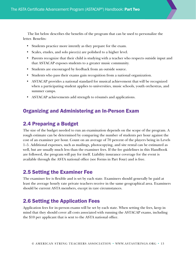The list below describes the benefits of the program that can be used to personalize the letter. Benefits:

- Students practice more intently as they prepare for the exam.
- Scales, etudes, and solo piece(s) are polished to a higher level.
- Parents recognize that their child is studying with a teacher who respects outside input and that ASTACAP exposes students to a greater music community.
- Students are encouraged by feedback from an outside source.
- Students who pass their exams gain recognition from a national organization.
- ASTACAP provides a national standard for musical achievement that will be recognized when a participating student applies to universities, music schools, youth orchestras, and summer camps.
- ASTACAP achievements add strength to résumés and applications.

## Organizing and Administering an In-Person Exam

## 2.4 Preparing a Budget

The size of the budget needed to run an examination depends on the scope of the program. A rough estimate can be determined by comparing the number of students per hour against the cost of an examiner per hour. Count on an average of 70 percent of the players being in Levels 1–5. Additional expenses, such as mailings, photocopying, and site rental can be estimated as well, but are usually much less than the examiner fees. If the fee guidelines in this Handbook are followed, the program will pay for itself. Liability insurance coverage for the event is available through the ASTA national office (see Forms in Part Four) and is free.

## 2.5 Setting the Examiner Fee

The examiner fee is flexible and is set by each state. Examiners should generally be paid at least the average hourly rate private teachers receive in the same geographical area. Examiners should be current ASTA members, except in rare circumstances.

## 2.6 Setting the Application Fees

Application fees for in-person exams will be set by each state. When setting the fees, keep in mind that they should cover all costs associated with running the ASTACAP exams, including the \$10 per applicant that is sent to the ASTA national office.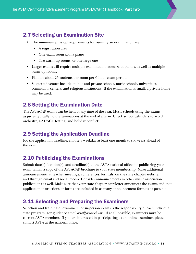# 2.7 Selecting an Examination Site

- The minimum physical requirements for running an examination are:
	- A registration area
	- One exam room with a piano
	- Two warm-up rooms, or one large one
- Larger exams will require multiple examination rooms with pianos, as well as multiple warm-up rooms.
- Plan for about 25 students per room per 6-hour exam period.
- Suggested venues include: public and private schools, music schools, universities, community centers, and religious institutions. If the examination is small, a private home may be used.

# 2.8 Setting the Examination Date

The ASTACAP exams can be held at any time of the year. Music schools using the exams as juries typically hold examinations at the end of a term. Check school calendars to avoid orchestra, SAT/ACT testing, and holiday conflicts.

## 2.9 Setting the Application Deadline

For the application deadline, choose a weekday at least one month to six weeks ahead of the exam.

# 2.10 Publicizing the Examinations

Submit date(s), location(s), and deadline(s) to the ASTA national office for publicizing your exam. Email a copy of the ASTACAP brochure to your state membership. Make additional announcements at teacher meetings, conferences, festivals, on the state chapter website, and through email and social media. Consider announcements in other music association publications as well. Make sure that your state chapter newsletter announces the exams and that application instructions or forms are included in as many announcement formats as possible.

## 2.11 Selecting and Preparing the Examiners

Selection and training of examiners for in-person exams is the responsibility of each individual state program. For guidance email *asta@astaweb.com.* If at all possible, examiners must be current ASTA members. If you are interested in participating as an online examiner, please contact ASTA at the national office.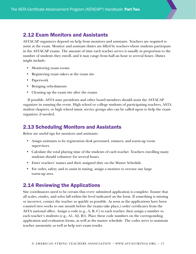## 2.12 Exam Monitors and Assistants

ASTACAP organizers depend on help from monitors and assistants. Teachers are required to assist at the exam. Monitor and assistant duties are filled by teachers whose students participate in the ASTACAP exams. The amount of time each teacher serves is usually in proportion to the number of students they enroll, and it may range from half an hour to several hours. Duties might include:

- Monitoring exam rooms
- Registering exam takers at the exam site
- Paperwork
- Bringing refreshments
- Cleaning up the exam site after the exams

If possible, ASTA state presidents and other board members should assist the ASTACAP organizer in running the event. High school or college students of participating teachers, ASTA student chapters, or high school music service groups also can be called upon to help the exam organizer, if needed.

## 2.13 Scheduling Monitors and Assistants

Below are useful tips for monitors and assistants.

- Assign assistants to be registration desk personnel, runners, and warm-up room supervisors.
- Calculate the total playing time of the students of each teacher. Teachers enrolling many students should volunteer for several hours.
- Enter teachers' names and their assigned duty on the Master Schedule.
- For order, safety, and to assist in tuning, assign a monitor to oversee any large warm-up area.

## 2.14 Reviewing the Applications

Site coordinators need to be certain that every submitted application is complete. Ensure that all scales, etudes, and solos fall within the level indicated on the form. If something is missing or incorrect, contact the teacher as quickly as possible. As soon as the applications have been counted (two weeks to one month before the exams take place,) order certificates from the ASTA national office. Assign a code (e.g., A, B, C) to each teacher, then assign a number to each teacher's students (e.g., A1, A2, B1). Place these code numbers on the corresponding application and evaluation forms, as well as the master schedule. The codes serve to maintain teacher anonymity as well as help sort exam results.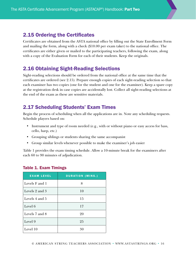## 2.15 Ordering the Certificates

Certificates are obtained from the ASTA national office by filling out the State Enrollment Form and mailing the form, along with a check (\$10.00 per exam taker) to the national office. The certificates are either given or mailed to the participating teachers, following the exam, along with a copy of the Evaluation Form for each of their students. Keep the originals.

# 2.16 Obtaining Sight-Reading Selections

Sight-reading selections should be ordered from the national office at the same time that the certificates are ordered (see 2.15). Prepare enough copies of each sight-reading selection so that each examiner has two copies (one for the student and one for the examiner). Keep a spare copy at the registration desk in case copies are accidentally lost. Collect all sight-reading selections at the end of the exam as these are sensitive materials.

# 2.17 Scheduling Students' Exam Times

Begin the process of scheduling when all the applications are in. Note any scheduling requests. Schedule players based on:

- Instrument and type of room needed (e.g., with or without piano or easy access for bass, cello, harp, etc.)
- Grouping siblings or students sharing the same accompanist
- Group similar levels whenever possible to make the examiner's job easier

Table 1 provides the exam timing schedule. Allow a 10-minute break for the examiners after each 60 to 90 minutes of adjudication.

| <b>EXAM LEVEL</b> | <b>DURATION (MINS.)</b> |
|-------------------|-------------------------|
| Levels F and 1    | 8                       |
| Levels 2 and 3    | 10                      |
| Levels 4 and 5    | 15                      |
| Level 6           | 17                      |
| Levels 7 and 8    | 20                      |
| Level 9           | 25                      |
| Level 10          | 30                      |

#### Table 1. Exam Timings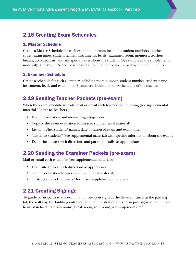## 2.18 Creating Exam Schedules

#### 1. Master Schedule

Create a Master Schedule for each examination room including student numbers, teacher codes, exam times, student names, instruments, levels, examiner, room, monitors, teachers, breaks, accompanists, and any special notes about the student. (See sample in the supplemental material). The Master Schedule is posted at the main desk and is used by the room monitors.

#### 2. Examiner Schedule

Create a schedule for each examiner including room number, student number, student name, instrument, level, and exam time. Examiners should not know the name of the teacher.

## 2.19 Sending Teacher Packets (pre-exam)

When the exam schedule is ready, mail or email each teacher the following (see supplemental material "Letter to Teachers"):

- Exam information and monitoring assignment
- Copy of the exam evaluation forms (see supplemental material)
- List of his/her students' names, date, location of exam and exam times
- "Letter to Students" (see supplemental material) with specific information about the exams
- Exam site address with directions and parking details, as appropriate

## 2.20 Sending the Examiner Packets (pre-exam)

Mail or email each examiner (see supplemental material):

- Exam site address with directions as appropriate
- Sample evaluation forms (see supplemental material)
- "Instructions to Examiners" form (see supplemental material)

# 2.21 Creating Signage

To guide participants to the examination site, post signs at the drive entrance, at the parking lot, the walkway, the building entrance, and the registration desk. Also post signs inside the site to assist in locating exam rooms, break room, rest rooms, warm-up rooms, etc.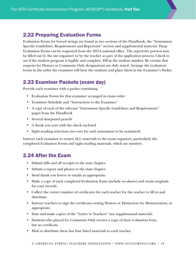## 2.22 Preparing Evaluation Forms

Evaluation Forms for bowed strings are found in two sections of the Handbook, the "Instrument Specific Guidelines, Requirements and Repertoire" section and supplemental material. Harp Evaluation Forms can be requested from the ASTA national office. The repertoire portion may be filled out by the site organizer or by the teacher as part of the application process. Check to see if the student program is legible and complete. Fill in the student number. Be certain that requests for Honors or Comments Only designations are duly noted. Arrange the evaluation forms in the order the examiner will hear the students and place them in the Examiner's Packet.

## 2.23 Examiner Packets (exam day)

Provide each examiner with a packet containing:

- Evaluation Forms for that examiner arranged in exam order
- Examiner Schedule and "Instructions to the Examiner"
- A copy of each of the relevant "Instrument Specific Guidelines and Requirements" pages from the Handbook
- Several sharpened pencils
- A thank you note with the check enclosed
- Sight-reading selections (two sets for each instrument to be examined)

Instruct each examiner to return ALL materials to the exam organizer, particularly the completed Evaluation Forms and sight-reading materials, which are sensitive.

## 2.24 After the Exam

- Submit bills and all receipts to the state chapter.
- Submit a report and photos to the state chapter.
- Send thank you letters or emails as appropriate.
- Make a copy of each completed Evaluation Form (include no-shows) and retain originals for your records.
- Collect the correct number of certificates for each teacher for the teacher to fill in and distribute.
- Instruct teachers to sign the certificates noting Honors or Distinction for Memorization, as appropriate.
- Date and make copies of the "Letter to Teachers" (see supplemental material).
- Students who played for Comments Only receive a copy of their evaluation form, but no certificate.
- Mail or distribute these last four listed materials to each teacher.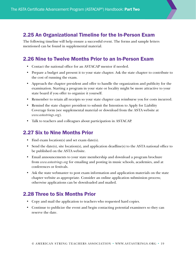# 2.25 An Organizational Timeline for the In-Person Exam

The following timeline will help ensure a successful event. The forms and sample letters mentioned can be found in supplemental material.

# 2.26 Nine to Twelve Months Prior to an In-Person Exam

- Contact the national office for an ASTACAP mentor if needed.
- Prepare a budget and present it to your state chapter. Ask the state chapter to contribute to the cost of running the exam.
- Approach the chapter president and offer to handle the organization and publicity for the examination. Starting a program in your state or locality might be more attractive to your state board if you offer to organize it yourself.
- Remember to retain all receipts so your state chapter can reimburse you for costs incurred.
- Remind the state chapter president to submit the Intention to Apply for Liability Coverage form (see supplemental material or download from the ASTA website at *www.astastrings.org*).
- Talk to teachers and colleagues about participation in ASTACAP.

## 2.27 Six to Nine Months Prior

- Find exam location(s) and set exam date(s).
- Send the date(s), site location(s), and application deadline(s) to the ASTA national office to be published on the ASTA website.
- Email announcements to your state membership and download a program brochure from *www.astastrings.org* for emailing and posting in music schools, academies, and at conferences or festivals.
- Ask the state webmaster to post exam information and application materials on the state chapter website as appropriate. Consider an online application submission process; otherwise applications can be downloaded and mailed.

# 2.28 Three to Six Months Prior

- Copy and mail the application to teachers who requested hard copies.
- Continue to publicize the event and begin contacting potential examiners so they can reserve the date.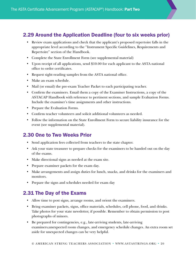# 2.29 Around the Application Deadline (four to six weeks prior)

- Review exam applications and check that the applicant's proposed repertoire falls in the appropriate level according to the "Instrument Specific Guidelines, Requirements and Repertoire" section of the Handbook.
- Complete the State Enrollment Form (see supplemental material)
- Upon receipt of all applications, send \$10.00 for each applicant to the ASTA national office to order certificates.
- Request sight-reading samples from the ASTA national office.
- Make an exam schedule.
- Mail (or email) the pre-exam Teacher Packet to each participating teacher.
- Confirm the examiners. Email them a copy of the Examiner Instructions, a copy of the ASTACAP Handbook with reference to pertinent sections, and sample Evaluation Forms. Include the examiner's time assignments and other instructions.
- Prepare the Evaluation Forms.
- Confirm teacher volunteers and solicit additional volunteers as needed.
- Follow the information on the State Enrollment Form to secure liability insurance for the event (see supplemental material).

# 2.30 One to Two Weeks Prior

- Send application fees collected from teachers to the state chapter.
- Ask your state treasurer to prepare checks for the examiners to be handed out on the day of the exams.
- Make directional signs as needed at the exam site.
- Prepare examiner packets for the exam day.
- Make arrangements and assign duties for lunch, snacks, and drinks for the examiners and monitors.
- Prepare the signs and schedules needed for exam day

# 2.31 The Day of the Exams

- Allow time to post signs, arrange rooms, and orient the examiners.
- Bring examiner packets, signs, office materials, schedules, cell phone, food, and drinks. Take photos for your state newsletter, if possible. Remember to obtain permission to post photographs of minors.
- Be prepared for contingencies, e.g., late-arriving students, late-arriving examiners,unexpected room changes, and emergency schedule changes. An extra room set aside for unexpected changes can be very helpful.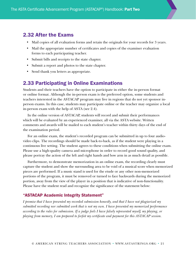## 2.32 After the Exams

- Mail copies of all evaluation forms and retain the originals for your records for 3 years.
- Mail the appropriate number of certificates and copies of the examiner evaluation forms to each participating teacher.
- Submit bills and receipts to the state chapter.
- Submit a report and photos to the state chapter.
- Send thank you letters as appropriate.

### 2.33 Participating in Online Examinations

Students and their teachers have the option to participate in either the in-person format or online format. Although the in-person exam is the preferred option, some students and teachers interested in the ASTACAP program may live in regions that do not yet sponsor inperson exams. In this case, students may participate online or the teacher may organize a local in-person exam with the help of ASTA (see 2.4).

In the online version of ASTACAP, students will record and submit their performances which will be evaluated by an experienced examiner, all via the ASTA website. Written comments and awards will be mailed to each student's teacher within thirty days of the end of the examination period.

For an online exam, the student's recorded program can be submitted in up to four audiovideo clips. The recordings should be made back-to-back, as if the student were playing in a continuous live setting. The student agrees to these conditions when submitting the online exam. Please use a high-quality camera and microphone in order to record good sound quality, and please portray the action of the left and right hands and bow arm in as much detail as possible.

Furthermore, to demonstrate memorization in an online exam, the recording clearly must capture the student and show the surrounding area to be void of a musical score when memorized pieces are performed. If a music stand is used for the etude or any other non-memorized portions of the program, it must be removed or turned to face backwards during the memorized portion, away from the view of the player in a position that is indicative of non-functionality. Please have the student read and recognize the significance of the statement below:

#### "ASTACAP Academic Integrity Statement"

*I promise that I have presented my recorded submission honestly, and that I have not plagiarized my submitted recording nor submitted work that is not my own. I have presented my memorized performance according to the rules for submission. If a judge feels I have falsely represented myself, my playing, or playing from memory, I am prepared to forfeit my certificate and payment for this ASTACAP session.*